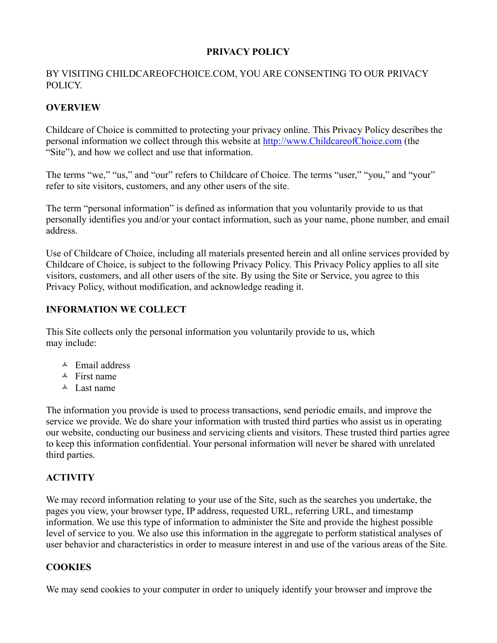## **PRIVACY POLICY**

### BY VISITING CHILDCAREOFCHOICE.COM, YOU ARE CONSENTING TO OUR PRIVACY POLICY.

## **OVERVIEW**

Childcare of Choice is committed to protecting your privacy online. This Privacy Policy describes the personal information we collect through this website at [http://www.ChildcareofChoice.com](http://www.daycareindemand.com/) (the "Site"), and how we collect and use that information.

The terms "we," "us," and "our" refers to Childcare of Choice. The terms "user," "you," and "your" refer to site visitors, customers, and any other users of the site.

The term "personal information" is defined as information that you voluntarily provide to us that personally identifies you and/or your contact information, such as your name, phone number, and email address.

Use of Childcare of Choice, including all materials presented herein and all online services provided by Childcare of Choice, is subject to the following Privacy Policy. This Privacy Policy applies to all site visitors, customers, and all other users of the site. By using the Site or Service, you agree to this Privacy Policy, without modification, and acknowledge reading it.

### **INFORMATION WE COLLECT**

This Site collects only the personal information you voluntarily provide to us, which may include:

- $\triangle$  Email address
- $\triangle$  First name
- $\triangle$  Last name

The information you provide is used to process transactions, send periodic emails, and improve the service we provide. We do share your information with trusted third parties who assist us in operating our website, conducting our business and servicing clients and visitors. These trusted third parties agree to keep this information confidential. Your personal information will never be shared with unrelated third parties.

# **ACTIVITY**

We may record information relating to your use of the Site, such as the searches you undertake, the pages you view, your browser type, IP address, requested URL, referring URL, and timestamp information. We use this type of information to administer the Site and provide the highest possible level of service to you. We also use this information in the aggregate to perform statistical analyses of user behavior and characteristics in order to measure interest in and use of the various areas of the Site.

### **COOKIES**

We may send cookies to your computer in order to uniquely identify your browser and improve the